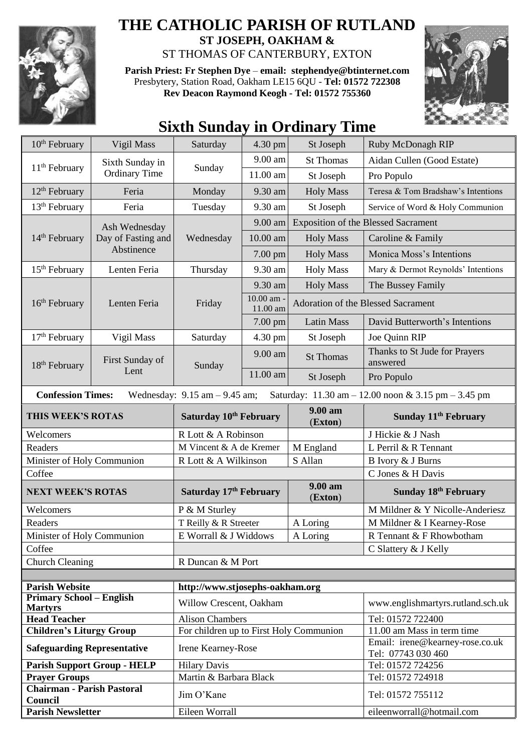

## **THE CATHOLIC PARISH OF RUTLAND ST JOSEPH, OAKHAM &**  ST THOMAS OF CANTERBURY, EXTON

**Parish Priest: Fr Stephen Dye** – **[email: stephendye@btinternet.com](mailto:email:%20%20stephendye@btinternet.com)** Presbytery, Station Road, Oakham LE15 6QU - **Tel: 01572 722308 Rev Deacon Raymond Keogh - Tel: 01572 755360**



## **Sixth Sunday in Ordinary Time**

| $10th$ February                                                                                                                                         | Vigil Mass                                        | Saturday                                | 4.30 pm                        | St Joseph                                  | Ruby McDonagh RIP                                             |  |
|---------------------------------------------------------------------------------------------------------------------------------------------------------|---------------------------------------------------|-----------------------------------------|--------------------------------|--------------------------------------------|---------------------------------------------------------------|--|
|                                                                                                                                                         | Sixth Sunday in                                   | 9.00 am                                 | <b>St Thomas</b>               | Aidan Cullen (Good Estate)                 |                                                               |  |
| 11 <sup>th</sup> February                                                                                                                               | <b>Ordinary Time</b>                              | Sunday                                  | 11.00 am                       | St Joseph                                  | Pro Populo                                                    |  |
| $12th$ February                                                                                                                                         | Feria                                             | Monday                                  | 9.30 am                        | <b>Holy Mass</b>                           | Teresa & Tom Bradshaw's Intentions                            |  |
| 13 <sup>th</sup> February                                                                                                                               | Feria                                             | Tuesday                                 | 9.30 am                        | St Joseph                                  | Service of Word & Holy Communion                              |  |
| 14 <sup>th</sup> February                                                                                                                               | Ash Wednesday<br>Day of Fasting and<br>Abstinence | Wednesday                               | 9.00 am                        | <b>Exposition of the Blessed Sacrament</b> |                                                               |  |
|                                                                                                                                                         |                                                   |                                         | 10.00 am                       | <b>Holy Mass</b>                           | Caroline & Family                                             |  |
|                                                                                                                                                         |                                                   |                                         | 7.00 pm                        | <b>Holy Mass</b>                           | Monica Moss's Intentions                                      |  |
| 15 <sup>th</sup> February                                                                                                                               | Lenten Feria                                      | Thursday                                | 9.30 am                        | <b>Holy Mass</b>                           | Mary & Dermot Reynolds' Intentions                            |  |
| 16 <sup>th</sup> February                                                                                                                               | Lenten Feria                                      | Friday                                  | 9.30 am                        | <b>Holy Mass</b>                           | The Bussey Family                                             |  |
|                                                                                                                                                         |                                                   |                                         | $10.00$ am $\cdot$<br>11.00 am | Adoration of the Blessed Sacrament         |                                                               |  |
|                                                                                                                                                         |                                                   |                                         | $7.00$ pm                      | <b>Latin Mass</b>                          | David Butterworth's Intentions                                |  |
| $17th$ February                                                                                                                                         | Vigil Mass                                        | Saturday                                | 4.30 pm                        | St Joseph                                  | Joe Quinn RIP                                                 |  |
| 18 <sup>th</sup> February                                                                                                                               | First Sunday of<br>Lent                           | Sunday                                  | 9.00 am                        | <b>St Thomas</b>                           | Thanks to St Jude for Prayers<br>answered                     |  |
|                                                                                                                                                         |                                                   |                                         | 11.00 am                       | St Joseph                                  | Pro Populo                                                    |  |
| <b>Confession Times:</b><br>Wednesday: $9.15$ am $- 9.45$ am;<br>Saturday: $11.30 \text{ am} - 12.00 \text{ noon} \& 3.15 \text{ pm} - 3.45 \text{ pm}$ |                                                   |                                         |                                |                                            |                                                               |  |
| THIS WEEK'S ROTAS                                                                                                                                       |                                                   | Saturday 10th February                  |                                | 9.00 am<br>(Exton)                         | Sunday 11 <sup>th</sup> February                              |  |
| Welcomers                                                                                                                                               |                                                   | R Lott & A Robinson                     |                                |                                            | J Hickie & J Nash                                             |  |
| Readers                                                                                                                                                 |                                                   | M Vincent & A de Kremer                 |                                | M England                                  | L Perril & R Tennant                                          |  |
| Minister of Holy Communion                                                                                                                              |                                                   | R Lott & A Wilkinson                    |                                | S Allan                                    | B Ivory & J Burns                                             |  |
| Coffee                                                                                                                                                  |                                                   |                                         |                                |                                            | C Jones & H Davis                                             |  |
| <b>NEXT WEEK'S ROTAS</b>                                                                                                                                |                                                   | Saturday 17th February                  |                                | 9.00 am<br>(Exton)                         | Sunday 18 <sup>th</sup> February                              |  |
| Welcomers                                                                                                                                               |                                                   | P & M Sturley                           |                                |                                            | M Mildner & Y Nicolle-Anderiesz                               |  |
| Readers                                                                                                                                                 |                                                   | T Reilly & R Streeter                   |                                | A Loring                                   | M Mildner & I Kearney-Rose                                    |  |
| Minister of Holy Communion                                                                                                                              |                                                   | E Worrall & J Widdows<br>A Loring       |                                |                                            | R Tennant & F Rhowbotham                                      |  |
| Coffee                                                                                                                                                  |                                                   |                                         |                                |                                            | C Slattery & J Kelly                                          |  |
| <b>Church Cleaning</b>                                                                                                                                  |                                                   | R Duncan & M Port                       |                                |                                            |                                                               |  |
|                                                                                                                                                         |                                                   |                                         |                                |                                            |                                                               |  |
| <b>Parish Website</b><br><b>Primary School – English</b>                                                                                                |                                                   | http://www.stjosephs-oakham.org         |                                |                                            |                                                               |  |
| <b>Martyrs</b>                                                                                                                                          |                                                   | Willow Crescent, Oakham                 |                                |                                            | www.englishmartyrs.rutland.sch.uk                             |  |
| <b>Head Teacher</b>                                                                                                                                     |                                                   | <b>Alison Chambers</b>                  |                                |                                            | Tel: 01572 722400                                             |  |
| <b>Children's Liturgy Group</b>                                                                                                                         |                                                   | For children up to First Holy Communion |                                |                                            | 11.00 am Mass in term time<br>Email: irene@kearney-rose.co.uk |  |
| <b>Safeguarding Representative</b>                                                                                                                      |                                                   | Irene Kearney-Rose                      |                                |                                            | Tel: 07743 030 460                                            |  |
| <b>Parish Support Group - HELP</b>                                                                                                                      |                                                   | <b>Hilary Davis</b>                     |                                |                                            | Tel: 01572 724256                                             |  |
| <b>Prayer Groups</b>                                                                                                                                    |                                                   | Martin & Barbara Black                  |                                |                                            | Tel: 01572 724918                                             |  |
| <b>Chairman - Parish Pastoral</b><br>Council                                                                                                            |                                                   | Jim O'Kane                              |                                |                                            | Tel: 01572 755112                                             |  |
| <b>Parish Newsletter</b>                                                                                                                                |                                                   | Eileen Worrall                          |                                |                                            | eileenworrall@hotmail.com                                     |  |